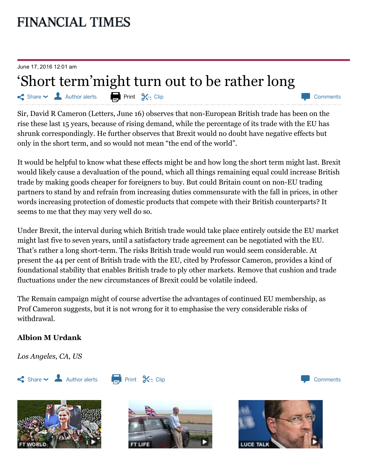## **FINANCIAL TIMES**

June 17, 2016 12:01 am

## 'Short term'might turn out to be rather long

 $\leq$  Share  $\leq$  Author alerts **Print S**, Clip

Sir, David R Cameron [\(Letters,](http://www.ft.com/cms/s/0/4738fa10-3256-11e6-ad39-3fee5ffe5b5b.html#axzz4BSfbVIqR) June 16) observes that non-European British trade has been on the rise these last 15 years, because of rising demand, while the percentage of its trade with the EU has shrunk correspondingly. He further observes that Brexit would no doubt have negative effects but only in the short term, and so would not mean "the end of the world".

It would be helpful to know what these effects might be and how long the short term might last. Brexit would likely cause a devaluation of the pound, which all things remaining equal could increase British trade by making goods cheaper for foreigners to buy. But could Britain count on non-EU trading partners to stand by and refrain from increasing duties commensurate with the fall in prices, in other words increasing protection of domestic products that compete with their British counterparts? It seems to me that they may very well do so.

Under Brexit, the interval during which British trade would take place entirely outside the EU market might last five to seven years, until a satisfactory trade agreement can be negotiated with the EU. That's rather a long short-term. The risks British trade would run would seem considerable. At present the 44 per cent of British trade with the EU, cited by Professor Cameron, provides a kind of foundational stability that enables British trade to ply other markets. Remove that cushion and trade fluctuations under the new circumstances of Brexit could be volatile indeed.

The Remain campaign might of course advertise the advantages of continued EU membership, as Prof Cameron suggests, but it is not wrong for it to emphasise the very considerable risks of withdrawal.

## Albion M Urdank

Los Angeles, CA, US